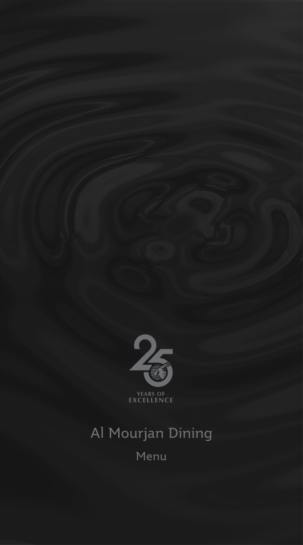

# Al Mourjan Dining Menu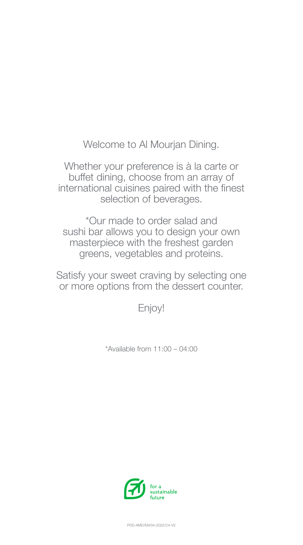Welcome to Al Mourjan Dining.

Whether your preference is à la carte or buffet dining, choose from an array of international cuisines paired with the finest selection of beverages.

\*Our made to order salad and sushi bar allows you to design your own masterpiece with the freshest garden greens, vegetables and proteins.

Satisfy your sweet craving by selecting one or more options from the dessert counter.

Enjoy!

\*Available from 11:00 – 04:00



PDD-AMD/EN/04-2022/C4-V2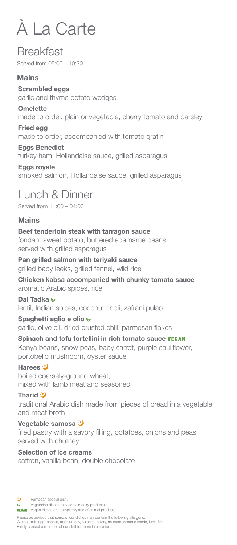# À La Carte

## **Breakfast**

Served from 05:00 – 10:30

## **Mains**

**Scrambled eggs** garlic and thyme potato wedges

## **Omelette**

made to order, plain or vegetable, cherry tomato and parsley

## **Fried egg**

made to order, accompanied with tomato gratin

## **Eggs Benedict**

turkey ham, Hollandaise sauce, grilled asparagus

## **Eggs royale**

smoked salmon, Hollandaise sauce, grilled asparagus

# Lunch & Dinner

Served from 11:00 – 04:00

## **Mains**

## **Beef tenderloin steak with tarragon sauce**

fondant sweet potato, buttered edamame beans served with grilled asparagus

## **Pan grilled salmon with teriyaki sauce**

grilled baby leeks, grilled fennel, wild rice

## **Chicken kabsa accompanied with chunky tomato sauce** aromatic Arabic spices, rice

**Dal Tadka**  lentil, Indian spices, coconut tindli, zafrani pulao

## **Spaghetti aglio e olio**

garlic, olive oil, dried crusted chili, parmesan flakes

## **Spinach and tofu tortellini in rich tomato sauce**

Kenya beans, snow peas, baby carrot, purple cauliflower, portobello mushroom, oyster sauce

## **Harees**

boiled coarsely-ground wheat, mixed with lamb meat and seasoned

## **Tharid**

traditional Arabic dish made from pieces of bread in a vegetable and meat broth

## **Vegetable samosa**  fried pastry with a savory filling, potatoes, onions and peas served with chutney

#### **Selection of ice creams**

saffron, vanilla bean, double chocolate

- Э Ramadan special dish.
- Vegetarian dishes may contain dairy products.  $\mathbf{v}$
- **VEGAN** Vegan dishes are completely free of animal products.

Please be advised that some of our dishes may contain the following allergens: Gluten, milk, egg, peanut, tree nut, soy, sulphite, celery, mustard, sesame seeds, lupin fish. Kindly contact a member of our staff for more information.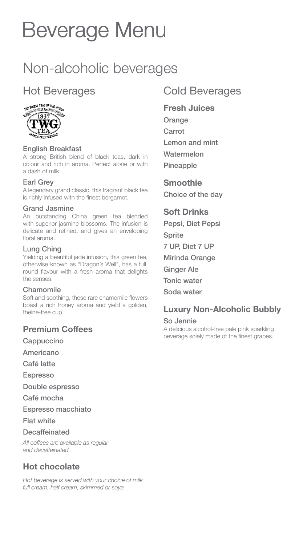# Beverage Menu Beverage Menu

# Non-alcoholic beverages

# Hot Beverages



#### English Breakfast

A strong British blend of black teas, dark in colour and rich in aroma. Perfect alone or with a dash of milk.

#### Earl Grey

A legendary grand classic, this fragrant black tea is richly infused with the finest bergamot.

#### Grand Jasmine

An outstanding China green tea blended with superior jasmine blossoms. The infusion is delicate and refined, and gives an enveloping floral aroma.

#### Lung Ching

Yielding a beautiful jade infusion, this green tea, otherwise known as "Dragon's Well", has a full, round flavour with a fresh aroma that delights the senses.

#### Chamomile

Soft and soothing, these rare chamomile flowers boast a rich honey aroma and yield a golden, theine-free cup.

#### **Premium Coffees**

- **Cappuccino**
- Americano
- Café latte
- Espresso
- Double espresso

Café mocha

- Espresso macchiato
- Flat white

#### **Decaffeinated**

*All coffees are available as regular and decaffeinated*

## **Hot chocolate**

*Hot beverage is served with your choice of milk full cream, half cream, skimmed or soya*

## Cold Beverages

#### **Fresh Juices**

**Orange Carrot** Lemon and mint Watermelon

Pineapple

**Smoothie** Choice of the day

### **Soft Drinks**

Pepsi, Diet Pepsi **Sprite** 7 UP, Diet 7 UP Mirinda Orange Ginger Ale Tonic water Soda water

### **Luxury Non-Alcoholic Bubbly**

#### So Jennie

A delicious alcohol-free pale pink sparkling beverage solely made of the finest grapes.